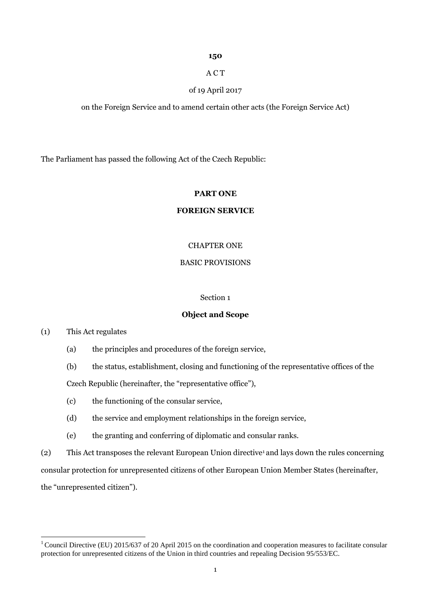# **150**

# A C T

# of 19 April 2017

on the Foreign Service and to amend certain other acts (the Foreign Service Act)

The Parliament has passed the following Act of the Czech Republic:

# **PART ONE**

# **FOREIGN SERVICE**

# CHAPTER ONE

# BASIC PROVISIONS

# Section 1

## **Object and Scope**

(1) This Act regulates

- (a) the principles and procedures of the foreign service,
- (b) the status, establishment, closing and functioning of the representative offices of the Czech Republic (hereinafter, the "representative office"),
- (c) the functioning of the consular service,
- (d) the service and employment relationships in the foreign service,
- (e) the granting and conferring of diplomatic and consular ranks.
- (2) This Act transposes the relevant European Union directive<sup>1</sup>and lays down the rules concerning

consular protection for unrepresented citizens of other European Union Member States (hereinafter,

the "unrepresented citizen").

 $1$ Council Directive (EU) 2015/637 of 20 April 2015 on the coordination and cooperation measures to facilitate consular protection for unrepresented citizens of the Union in third countries and repealing Decision 95/553/EC.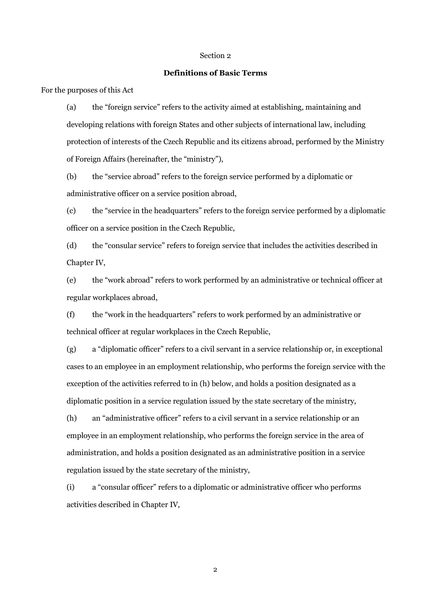# **Definitions of Basic Terms**

For the purposes of this Act

(a) the "foreign service" refers to the activity aimed at establishing, maintaining and developing relations with foreign States and other subjects of international law, including protection of interests of the Czech Republic and its citizens abroad, performed by the Ministry of Foreign Affairs (hereinafter, the "ministry"),

(b) the "service abroad" refers to the foreign service performed by a diplomatic or administrative officer on a service position abroad,

(c) the "service in the headquarters" refers to the foreign service performed by a diplomatic officer on a service position in the Czech Republic,

(d) the "consular service" refers to foreign service that includes the activities described in Chapter IV,

(e) the "work abroad" refers to work performed by an administrative or technical officer at regular workplaces abroad,

(f) the "work in the headquarters" refers to work performed by an administrative or technical officer at regular workplaces in the Czech Republic,

(g) a "diplomatic officer" refers to a civil servant in a service relationship or, in exceptional cases to an employee in an employment relationship, who performs the foreign service with the exception of the activities referred to in (h) below, and holds a position designated as a diplomatic position in a service regulation issued by the state secretary of the ministry,

(h) an "administrative officer" refers to a civil servant in a service relationship or an employee in an employment relationship, who performs the foreign service in the area of administration, and holds a position designated as an administrative position in a service regulation issued by the state secretary of the ministry,

(i) a "consular officer" refers to a diplomatic or administrative officer who performs activities described in Chapter IV,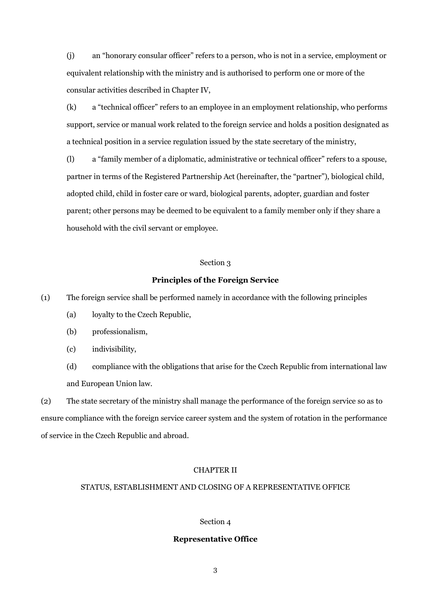(j) an "honorary consular officer" refers to a person, who is not in a service, employment or equivalent relationship with the ministry and is authorised to perform one or more of the consular activities described in Chapter IV,

(k) a "technical officer" refers to an employee in an employment relationship, who performs support, service or manual work related to the foreign service and holds a position designated as a technical position in a service regulation issued by the state secretary of the ministry,

(l) a "family member of a diplomatic, administrative or technical officer" refers to a spouse, partner in terms of the Registered Partnership Act (hereinafter, the "partner"), biological child, adopted child, child in foster care or ward, biological parents, adopter, guardian and foster parent; other persons may be deemed to be equivalent to a family member only if they share a household with the civil servant or employee.

## Section 3

#### **Principles of the Foreign Service**

(1) The foreign service shall be performed namely in accordance with the following principles

- (a) loyalty to the Czech Republic,
- (b) professionalism,
- (c) indivisibility,
- (d) compliance with the obligations that arise for the Czech Republic from international law and European Union law.

(2) The state secretary of the ministry shall manage the performance of the foreign service so as to ensure compliance with the foreign service career system and the system of rotation in the performance of service in the Czech Republic and abroad.

# CHAPTER II

# STATUS, ESTABLISHMENT AND CLOSING OF A REPRESENTATIVE OFFICE

## Section 4

#### **Representative Office**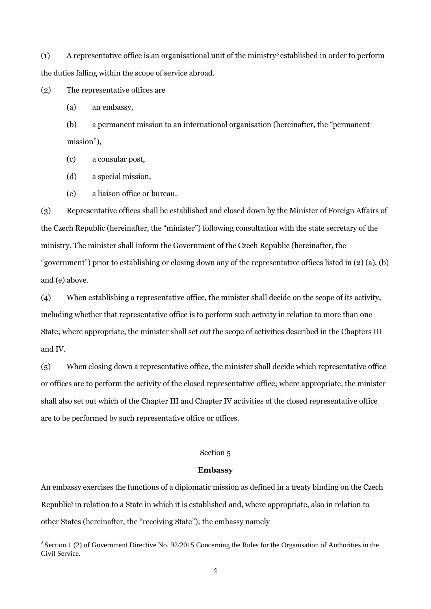(1) A representative office is an organisational unit of the ministry<sup>2</sup>established in order to perform the duties falling within the scope of service abroad.

(2) The representative offices are

(a) an embassy,

(b) a permanent mission to an international organisation (hereinafter, the "permanent mission"),

(c) a consular post,

(d) a special mission,

(e) a liaison office or bureau.

(3) Representative offices shall be established and closed down by the Minister of Foreign Affairs of the Czech Republic (hereinafter, the "minister") following consultation with the state secretary of the ministry. The minister shall inform the Government of the Czech Republic (hereinafter, the "government") prior to establishing or closing down any of the representative offices listed in (2) (a), (b) and (e) above.

(4) When establishing a representative office, the minister shall decide on the scope of its activity, including whether that representative office is to perform such activity in relation to more than one State; where appropriate, the minister shall set out the scope of activities described in the Chapters III and IV.

(5) When closing down a representative office, the minister shall decide which representative office or offices are to perform the activity of the closed representative office; where appropriate, the minister shall also set out which of the Chapter III and Chapter IV activities of the closed representative office are to be performed by such representative office or offices.

# Section 5

## **Embassy**

An embassy exercises the functions of a diplomatic mission as defined in a treaty binding on the Czech Republic<sup>3</sup>in relation to a State in which it is established and, where appropriate, also in relation to other States (hereinafter, the "receiving State"); the embassy namely

 $2$  Section 1 (2) of Government Directive No. 92/2015 Concerning the Rules for the Organisation of Authorities in the Civil Service.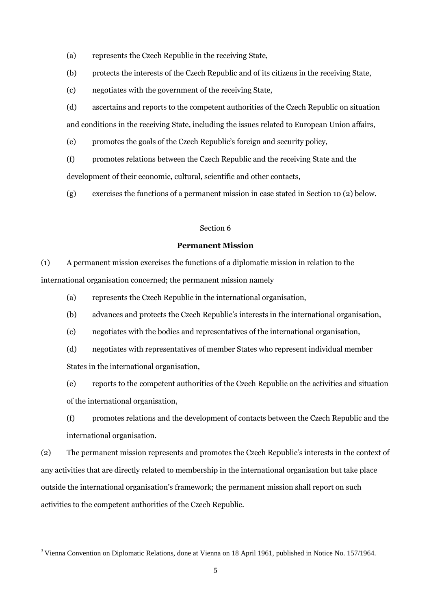- (a) represents the Czech Republic in the receiving State,
- (b) protects the interests of the Czech Republic and of its citizens in the receiving State,
- (c) negotiates with the government of the receiving State,
- (d) ascertains and reports to the competent authorities of the Czech Republic on situation and conditions in the receiving State, including the issues related to European Union affairs,
- (e) promotes the goals of the Czech Republic's foreign and security policy,
- (f) promotes relations between the Czech Republic and the receiving State and the

development of their economic, cultural, scientific and other contacts,

(g) exercises the functions of a permanent mission in case stated in Section 10 (2) below.

# Section 6

## **Permanent Mission**

(1) A permanent mission exercises the functions of a diplomatic mission in relation to the international organisation concerned; the permanent mission namely

- (a) represents the Czech Republic in the international organisation,
- (b) advances and protects the Czech Republic's interests in the international organisation,
- (c) negotiates with the bodies and representatives of the international organisation,
- (d) negotiates with representatives of member States who represent individual member States in the international organisation,
- (e) reports to the competent authorities of the Czech Republic on the activities and situation of the international organisation,
- (f) promotes relations and the development of contacts between the Czech Republic and the international organisation.

(2) The permanent mission represents and promotes the Czech Republic's interests in the context of any activities that are directly related to membership in the international organisation but take place outside the international organisation's framework; the permanent mission shall report on such activities to the competent authorities of the Czech Republic.

<sup>3</sup>Vienna Convention on Diplomatic Relations, done at Vienna on 18 April 1961, published in Notice No. 157/1964.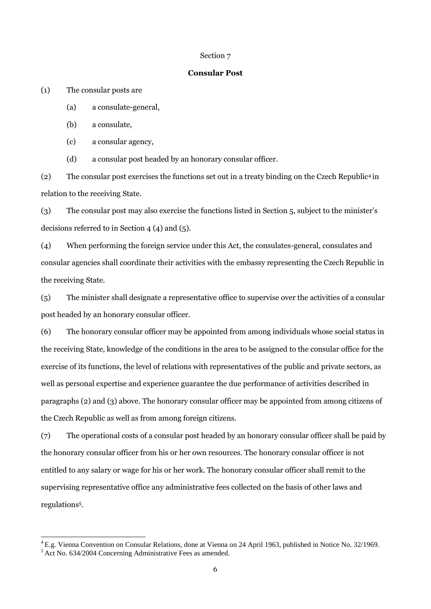#### <span id="page-5-0"></span>**Consular Post**

(1) The consular posts are

(a) a consulate-general,

(b) a consulate,

(c) a consular agency,

(d) a consular post headed by an honorary consular officer.

(2) The consular post exercises the functions set out in a treaty binding on the Czech Republic<sup>4</sup>in relation to the receiving State.

(3) The consular post may also exercise the functions listed in Section 5, subject to the minister's decisions referred to in Section 4 (4) and (5).

(4) When performing the foreign service under this Act, the consulates-general, consulates and consular agencies shall coordinate their activities with the embassy representing the Czech Republic in the receiving State.

(5) The minister shall designate a representative office to supervise over the activities of a consular post headed by an honorary consular officer.

(6) The honorary consular officer may be appointed from among individuals whose social status in the receiving State, knowledge of the conditions in the area to be assigned to the consular office for the exercise of its functions, the level of relations with representatives of the public and private sectors, as well as personal expertise and experience guarantee the due performance of activities described in paragraphs (2) and (3) above. The honorary consular officer may be appointed from among citizens of the Czech Republic as well as from among foreign citizens.

(7) The operational costs of a consular post headed by an honorary consular officer shall be paid by the honorary consular officer from his or her own resources. The honorary consular officer is not entitled to any salary or wage for his or her work. The honorary consular officer shall remit to the supervising representative office any administrative fees collected on the basis of other laws and regulations<sup>5</sup> .

<sup>&</sup>lt;sup>4</sup> E.g. Vienna Convention on Consular Relations, done at Vienna on 24 April 1963, published in Notice No. 32/1969.

 $5$ Act No. 634/2004 Concerning Administrative Fees as amended.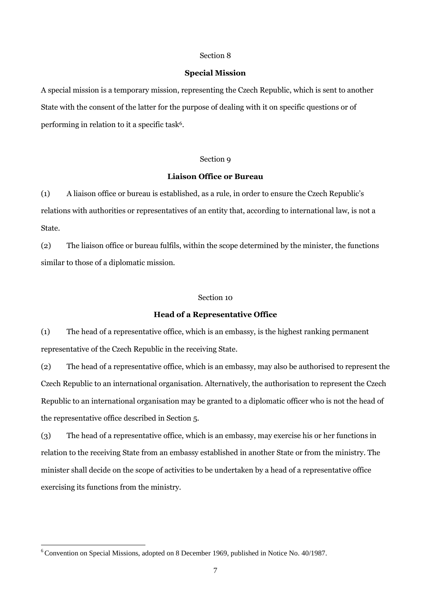## **Special Mission**

A special mission is a temporary mission, representing the Czech Republic, which is sent to another State with the consent of the latter for the purpose of dealing with it on specific questions or of performing in relation to it a specific task $\rm ^6$ .

## Section 9

#### **Liaison Office or Bureau**

(1) A liaison office or bureau is established, as a rule, in order to ensure the Czech Republic's relations with authorities or representatives of an entity that, according to international law, is not a State.

(2) The liaison office or bureau fulfils, within the scope determined by the minister, the functions similar to those of a diplomatic mission.

#### Section 10

#### **Head of a Representative Office**

(1) The head of a representative office, which is an embassy, is the highest ranking permanent representative of the Czech Republic in the receiving State.

(2) The head of a representative office, which is an embassy, may also be authorised to represent the Czech Republic to an international organisation. Alternatively, the authorisation to represent the Czech Republic to an international organisation may be granted to a diplomatic officer who is not the head of the representative office described in Section 5.

(3) The head of a representative office, which is an embassy, may exercise his or her functions in relation to the receiving State from an embassy established in another State or from the ministry. The minister shall decide on the scope of activities to be undertaken by a head of a representative office exercising its functions from the ministry.

<sup>6</sup>Convention on Special Missions, adopted on 8 December 1969, published in Notice No. 40/1987.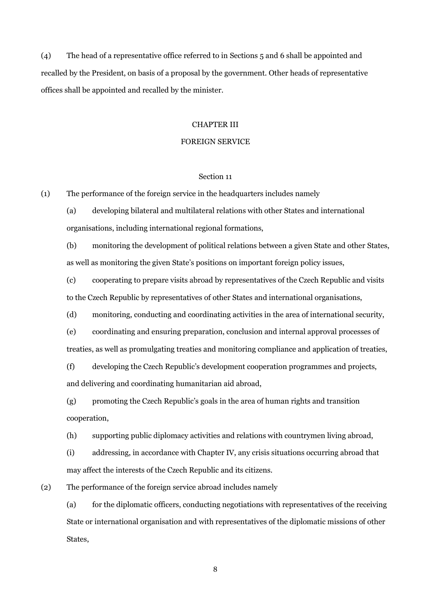(4) The head of a representative office referred to in Sections 5 and 6 shall be appointed and recalled by the President, on basis of a proposal by the government. Other heads of representative offices shall be appointed and recalled by the minister.

## CHAPTER III

# FOREIGN SERVICE

#### Section 11

(1) The performance of the foreign service in the headquarters includes namely

(a) developing bilateral and multilateral relations with other States and international organisations, including international regional formations,

(b) monitoring the development of political relations between a given State and other States, as well as monitoring the given State's positions on important foreign policy issues,

(c) cooperating to prepare visits abroad by representatives of the Czech Republic and visits to the Czech Republic by representatives of other States and international organisations,

(d) monitoring, conducting and coordinating activities in the area of international security,

(e) coordinating and ensuring preparation, conclusion and internal approval processes of treaties, as well as promulgating treaties and monitoring compliance and application of treaties,

(f) developing the Czech Republic's development cooperation programmes and projects, and delivering and coordinating humanitarian aid abroad,

(g) promoting the Czech Republic's goals in the area of human rights and transition cooperation,

(h) supporting public diplomacy activities and relations with countrymen living abroad,

(i) addressing, in accordance with Chapter IV, any crisis situations occurring abroad that may affect the interests of the Czech Republic and its citizens.

(2) The performance of the foreign service abroad includes namely

(a) for the diplomatic officers, conducting negotiations with representatives of the receiving State or international organisation and with representatives of the diplomatic missions of other States,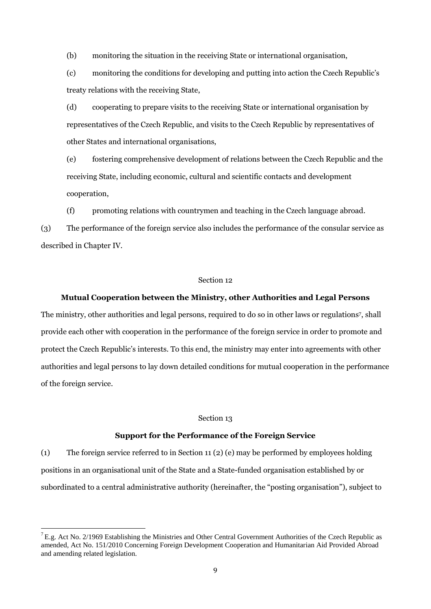(b) monitoring the situation in the receiving State or international organisation,

(c) monitoring the conditions for developing and putting into action the Czech Republic's treaty relations with the receiving State,

(d) cooperating to prepare visits to the receiving State or international organisation by representatives of the Czech Republic, and visits to the Czech Republic by representatives of other States and international organisations,

(e) fostering comprehensive development of relations between the Czech Republic and the receiving State, including economic, cultural and scientific contacts and development cooperation,

(f) promoting relations with countrymen and teaching in the Czech language abroad.

(3) The performance of the foreign service also includes the performance of the consular service as described in Chapter IV.

#### Section 12

## **Mutual Cooperation between the Ministry, other Authorities and Legal Persons**

The ministry, other authorities and legal persons, required to do so in other laws or regulations<sup>7</sup>, shall provide each other with cooperation in the performance of the foreign service in order to promote and protect the Czech Republic's interests. To this end, the ministry may enter into agreements with other authorities and legal persons to lay down detailed conditions for mutual cooperation in the performance of the foreign service.

#### Section 13

# **Support for the Performance of the Foreign Service**

(1) The foreign service referred to in Section 11 (2) (e) may be performed by employees holding positions in an organisational unit of the State and a State-funded organisation established by or subordinated to a central administrative authority (hereinafter, the "posting organisation"), subject to

 ${}^{7}$  E.g. Act No. 2/1969 Establishing the Ministries and Other Central Government Authorities of the Czech Republic as amended, Act No. 151/2010 Concerning Foreign Development Cooperation and Humanitarian Aid Provided Abroad and amending related legislation.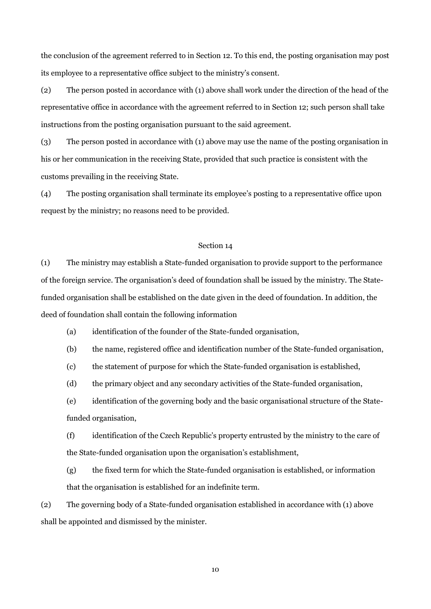the conclusion of the agreement referred to in Section 12. To this end, the posting organisation may post its employee to a representative office subject to the ministry's consent.

(2) The person posted in accordance with (1) above shall work under the direction of the head of the representative office in accordance with the agreement referred to in Section 12; such person shall take instructions from the posting organisation pursuant to the said agreement.

(3) The person posted in accordance with (1) above may use the name of the posting organisation in his or her communication in the receiving State, provided that such practice is consistent with the customs prevailing in the receiving State.

(4) The posting organisation shall terminate its employee's posting to a representative office upon request by the ministry; no reasons need to be provided.

## Section 14

(1) The ministry may establish a State-funded organisation to provide support to the performance of the foreign service. The organisation's deed of foundation shall be issued by the ministry. The Statefunded organisation shall be established on the date given in the deed of foundation. In addition, the deed of foundation shall contain the following information

(a) identification of the founder of the State-funded organisation,

(b) the name, registered office and identification number of the State-funded organisation,

(c) the statement of purpose for which the State-funded organisation is established,

(d) the primary object and any secondary activities of the State-funded organisation,

(e) identification of the governing body and the basic organisational structure of the Statefunded organisation,

(f) identification of the Czech Republic's property entrusted by the ministry to the care of the State-funded organisation upon the organisation's establishment,

(g) the fixed term for which the State-funded organisation is established, or information that the organisation is established for an indefinite term.

(2) The governing body of a State-funded organisation established in accordance with (1) above shall be appointed and dismissed by the minister.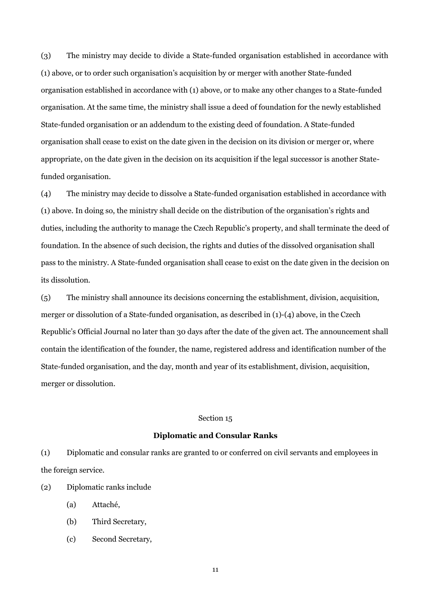(3) The ministry may decide to divide a State-funded organisation established in accordance with (1) above, or to order such organisation's acquisition by or merger with another State-funded organisation established in accordance with (1) above, or to make any other changes to a State-funded organisation. At the same time, the ministry shall issue a deed of foundation for the newly established State-funded organisation or an addendum to the existing deed of foundation. A State-funded organisation shall cease to exist on the date given in the decision on its division or merger or, where appropriate, on the date given in the decision on its acquisition if the legal successor is another Statefunded organisation.

(4) The ministry may decide to dissolve a State-funded organisation established in accordance with (1) above. In doing so, the ministry shall decide on the distribution of the organisation's rights and duties, including the authority to manage the Czech Republic's property, and shall terminate the deed of foundation. In the absence of such decision, the rights and duties of the dissolved organisation shall pass to the ministry. A State-funded organisation shall cease to exist on the date given in the decision on its dissolution.

(5) The ministry shall announce its decisions concerning the establishment, division, acquisition, merger or dissolution of a State-funded organisation, as described in (1)-(4) above, in the Czech Republic's Official Journal no later than 30 days after the date of the given act. The announcement shall contain the identification of the founder, the name, registered address and identification number of the State-funded organisation, and the day, month and year of its establishment, division, acquisition, merger or dissolution.

## Section 15

## **Diplomatic and Consular Ranks**

(1) Diplomatic and consular ranks are granted to or conferred on civil servants and employees in the foreign service.

(2) Diplomatic ranks include

- (a) Attaché,
- (b) Third Secretary,
- (c) Second Secretary,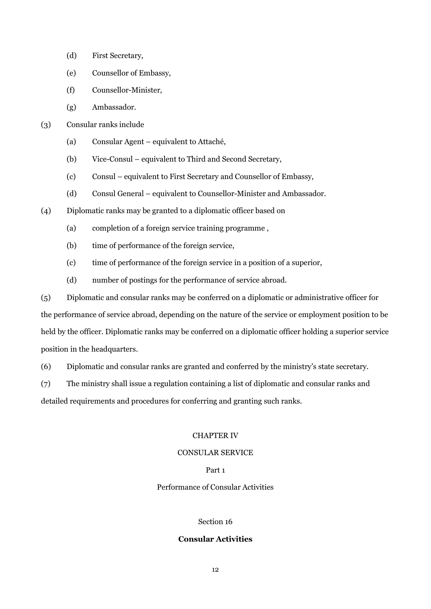- (d) First Secretary,
- (e) Counsellor of Embassy,
- (f) Counsellor-Minister,
- (g) Ambassador.

(3) Consular ranks include

- (a) Consular Agent equivalent to Attaché,
- (b) Vice-Consul equivalent to Third and Second Secretary,
- (c) Consul equivalent to First Secretary and Counsellor of Embassy,
- (d) Consul General equivalent to Counsellor-Minister and Ambassador.
- (4) Diplomatic ranks may be granted to a diplomatic officer based on
	- (a) completion of a foreign service training programme ,
	- (b) time of performance of the foreign service,
	- (c) time of performance of the foreign service in a position of a superior,
	- (d) number of postings for the performance of service abroad.

(5) Diplomatic and consular ranks may be conferred on a diplomatic or administrative officer for the performance of service abroad, depending on the nature of the service or employment position to be held by the officer. Diplomatic ranks may be conferred on a diplomatic officer holding a superior service position in the headquarters.

(6) Diplomatic and consular ranks are granted and conferred by the ministry's state secretary.

(7) The ministry shall issue a regulation containing a list of diplomatic and consular ranks and

detailed requirements and procedures for conferring and granting such ranks.

# CHAPTER IV

# CONSULAR SERVICE

# Part 1

# Performance of Consular Activities

# Section 16

# **Consular Activities**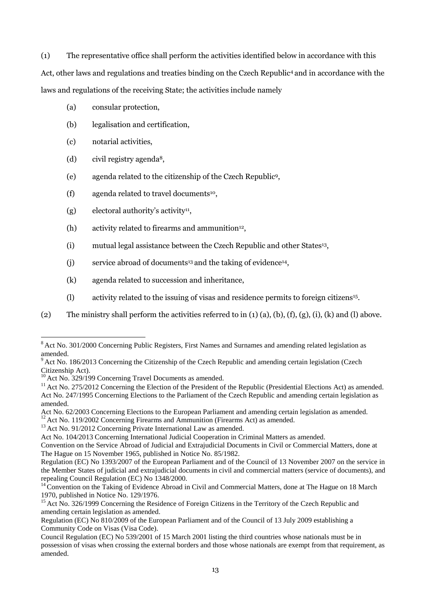(1) The representative office shall perform the activities identified below in accordance with this Act, other laws and regulations and treaties binding on the Czech Republic<sup>[4](#page-5-0)</sup> and in accordance with the laws and regulations of the receiving State; the activities include namely

- (a) consular protection,
- (b) legalisation and certification,
- (c) notarial activities,
- (d) civil registry agenda<sup>8</sup>,
- (e) agenda related to the citizenship of the Czech Republic<sup>9</sup> ,
- (f) agenda related to travel documents<sup>10</sup>,
- (g) electoral authority's activity<sup>11</sup>,
- (h) activity related to firearms and ammunition<sup>12</sup>,
- <span id="page-12-0"></span>(i) mutual legal assistance between the Czech Republic and other States<sup>13</sup>,
- (j) service abroad of documents<sup>13</sup> and the taking of evidence<sup>14</sup>,
- (k) agenda related to succession and inheritance,
- (l) activity related to the issuing of visas and residence permits to foreign citizens<sup>15</sup> .
- (2) The ministry shall perform the activities referred to in  $(1)$   $(a)$ ,  $(b)$ ,  $(f)$ ,  $(g)$ ,  $(i)$ ,  $(k)$  and  $(l)$  above.

 $12$  Act No. 119/2002 Concerning Firearms and Ammunition (Firearms Act) as amended.

<sup>13</sup> Act No. 91/2012 Concerning Private International Law as amended.

<sup>&</sup>lt;sup>8</sup> Act No. 301/2000 Concerning Public Registers, First Names and Surnames and amending related legislation as amended.

 $9$ Act No. 186/2013 Concerning the Citizenship of the Czech Republic and amending certain legislation (Czech Citizenship Act).

Act No.  $329/199$  Concerning Travel Documents as amended.

 $11$  Act No. 275/2012 Concerning the Election of the President of the Republic (Presidential Elections Act) as amended. Act No. 247/1995 Concerning Elections to the Parliament of the Czech Republic and amending certain legislation as amended.

Act No. 62/2003 Concerning Elections to the European Parliament and amending certain legislation as amended.

Act No. 104/2013 Concerning International Judicial Cooperation in Criminal Matters as amended.

Convention on the Service Abroad of Judicial and Extrajudicial Documents in Civil or Commercial Matters, done at The Hague on 15 November 1965, published in Notice No. 85/1982.

Regulation (EC) No 1393/2007 of the European Parliament and of the Council of 13 November 2007 on the service in the Member States of judicial and extrajudicial documents in civil and commercial matters (service of documents), and repealing Council Regulation (EC) No 1348/2000.

<sup>&</sup>lt;sup>14</sup> Convention on the Taking of Evidence Abroad in Civil and Commercial Matters, done at The Hague on 18 March 1970, published in Notice No. 129/1976.

<sup>&</sup>lt;sup>15</sup> Act No. 326/1999 Concerning the Residence of Foreign Citizens in the Territory of the Czech Republic and amending certain legislation as amended.

Regulation (EC) No 810/2009 of the European Parliament and of the Council of 13 July 2009 establishing a Community Code on Visas (Visa Code).

Council Regulation (EC) No 539/2001 of 15 March 2001 listing the third countries whose nationals must be in possession of visas when crossing the external borders and those whose nationals are exempt from that requirement, as amended.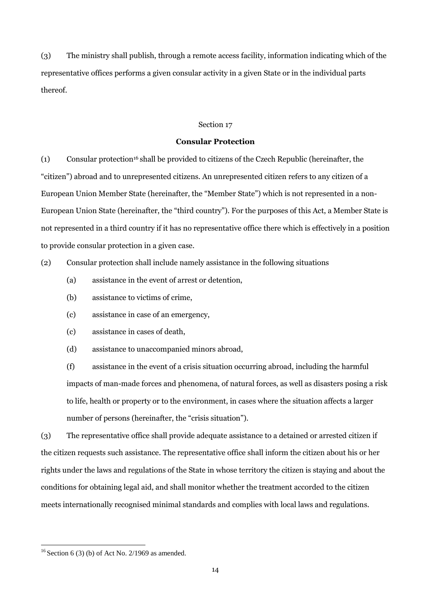(3) The ministry shall publish, through a remote access facility, information indicating which of the representative offices performs a given consular activity in a given State or in the individual parts thereof.

# Section 17

## **Consular Protection**

(1) Consular protection<sup>16</sup>shall be provided to citizens of the Czech Republic (hereinafter, the "citizen") abroad and to unrepresented citizens. An unrepresented citizen refers to any citizen of a European Union Member State (hereinafter, the "Member State") which is not represented in a non-European Union State (hereinafter, the "third country"). For the purposes of this Act, a Member State is not represented in a third country if it has no representative office there which is effectively in a position to provide consular protection in a given case.

(2) Consular protection shall include namely assistance in the following situations

- (a) assistance in the event of arrest or detention,
- (b) assistance to victims of crime,
- (c) assistance in case of an emergency,
- (c) assistance in cases of death,
- (d) assistance to unaccompanied minors abroad,

(f) assistance in the event of a crisis situation occurring abroad, including the harmful impacts of man-made forces and phenomena, of natural forces, as well as disasters posing a risk to life, health or property or to the environment, in cases where the situation affects a larger number of persons (hereinafter, the "crisis situation").

(3) The representative office shall provide adequate assistance to a detained or arrested citizen if the citizen requests such assistance. The representative office shall inform the citizen about his or her rights under the laws and regulations of the State in whose territory the citizen is staying and about the conditions for obtaining legal aid, and shall monitor whether the treatment accorded to the citizen meets internationally recognised minimal standards and complies with local laws and regulations.

 $16$  Section 6 (3) (b) of Act No. 2/1969 as amended.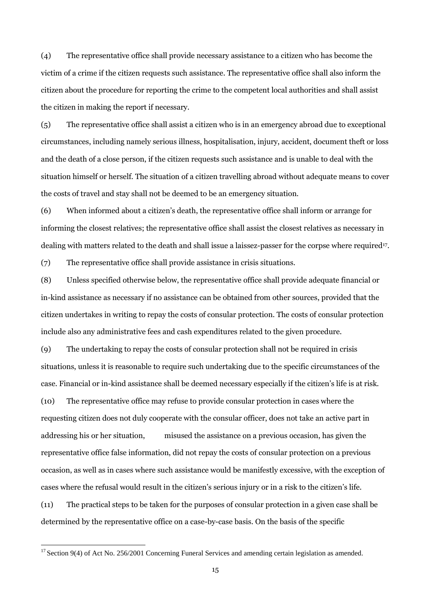(4) The representative office shall provide necessary assistance to a citizen who has become the victim of a crime if the citizen requests such assistance. The representative office shall also inform the citizen about the procedure for reporting the crime to the competent local authorities and shall assist the citizen in making the report if necessary.

(5) The representative office shall assist a citizen who is in an emergency abroad due to exceptional circumstances, including namely serious illness, hospitalisation, injury, accident, document theft or loss and the death of a close person, if the citizen requests such assistance and is unable to deal with the situation himself or herself. The situation of a citizen travelling abroad without adequate means to cover the costs of travel and stay shall not be deemed to be an emergency situation.

(6) When informed about a citizen's death, the representative office shall inform or arrange for informing the closest relatives; the representative office shall assist the closest relatives as necessary in dealing with matters related to the death and shall issue a laissez-passer for the corpse where required<sup>17</sup> .

(7) The representative office shall provide assistance in crisis situations.

(8) Unless specified otherwise below, the representative office shall provide adequate financial or in-kind assistance as necessary if no assistance can be obtained from other sources, provided that the citizen undertakes in writing to repay the costs of consular protection. The costs of consular protection include also any administrative fees and cash expenditures related to the given procedure.

(9) The undertaking to repay the costs of consular protection shall not be required in crisis situations, unless it is reasonable to require such undertaking due to the specific circumstances of the case. Financial or in-kind assistance shall be deemed necessary especially if the citizen's life is at risk. (10) The representative office may refuse to provide consular protection in cases where the requesting citizen does not duly cooperate with the consular officer, does not take an active part in

addressing his or her situation, misused the assistance on a previous occasion, has given the representative office false information, did not repay the costs of consular protection on a previous occasion, as well as in cases where such assistance would be manifestly excessive, with the exception of cases where the refusal would result in the citizen's serious injury or in a risk to the citizen's life.

(11) The practical steps to be taken for the purposes of consular protection in a given case shall be determined by the representative office on a case-by-case basis. On the basis of the specific

<sup>&</sup>lt;sup>17</sup> Section 9(4) of Act No. 256/2001 Concerning Funeral Services and amending certain legislation as amended.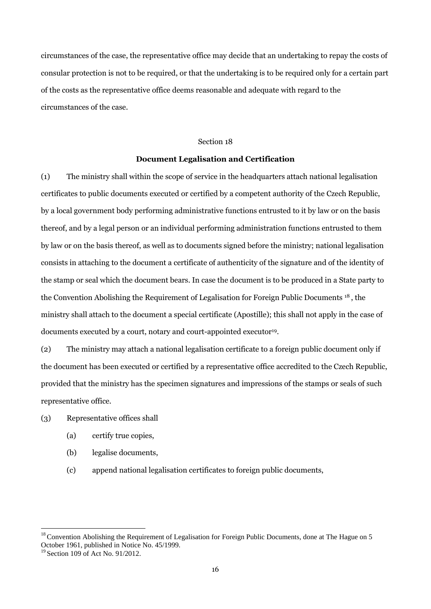circumstances of the case, the representative office may decide that an undertaking to repay the costs of consular protection is not to be required, or that the undertaking is to be required only for a certain part of the costs as the representative office deems reasonable and adequate with regard to the circumstances of the case.

## Section 18

# **Document Legalisation and Certification**

(1) The ministry shall within the scope of service in the headquarters attach national legalisation certificates to public documents executed or certified by a competent authority of the Czech Republic, by a local government body performing administrative functions entrusted to it by law or on the basis thereof, and by a legal person or an individual performing administration functions entrusted to them by law or on the basis thereof, as well as to documents signed before the ministry; national legalisation consists in attaching to the document a certificate of authenticity of the signature and of the identity of the stamp or seal which the document bears. In case the document is to be produced in a State party to the Convention Abolishing the Requirement of Legalisation for Foreign Public Documents <sup>18</sup>, the ministry shall attach to the document a special certificate (Apostille); this shall not apply in the case of documents executed by a court, notary and court-appointed executor<sup>19</sup>.

(2) The ministry may attach a national legalisation certificate to a foreign public document only if the document has been executed or certified by a representative office accredited to the Czech Republic, provided that the ministry has the specimen signatures and impressions of the stamps or seals of such representative office.

- (3) Representative offices shall
	- (a) certify true copies,
	- (b) legalise documents,
	- (c) append national legalisation certificates to foreign public documents,

 $18$ Convention Abolishing the Requirement of Legalisation for Foreign Public Documents, done at The Hague on 5 October 1961, published in Notice No. 45/1999.

 $19$  Section 109 of Act No. 91/2012.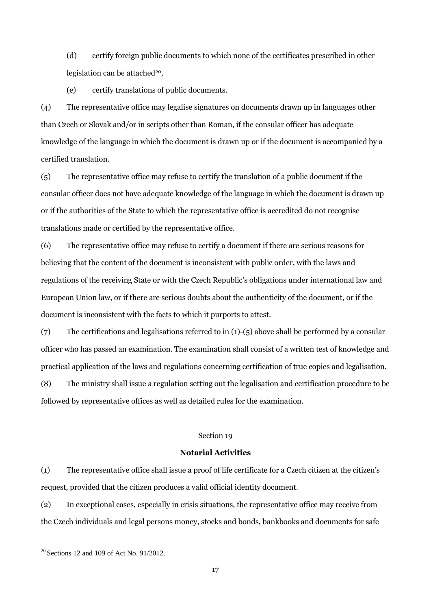(d) certify foreign public documents to which none of the certificates prescribed in other legislation can be attached<sup>20</sup>,

(e) certify translations of public documents.

(4) The representative office may legalise signatures on documents drawn up in languages other than Czech or Slovak and/or in scripts other than Roman, if the consular officer has adequate knowledge of the language in which the document is drawn up or if the document is accompanied by a certified translation.

(5) The representative office may refuse to certify the translation of a public document if the consular officer does not have adequate knowledge of the language in which the document is drawn up or if the authorities of the State to which the representative office is accredited do not recognise translations made or certified by the representative office.

(6) The representative office may refuse to certify a document if there are serious reasons for believing that the content of the document is inconsistent with public order, with the laws and regulations of the receiving State or with the Czech Republic's obligations under international law and European Union law, or if there are serious doubts about the authenticity of the document, or if the document is inconsistent with the facts to which it purports to attest.

(7) The certifications and legalisations referred to in (1)-(5) above shall be performed by a consular officer who has passed an examination. The examination shall consist of a written test of knowledge and practical application of the laws and regulations concerning certification of true copies and legalisation.

(8) The ministry shall issue a regulation setting out the legalisation and certification procedure to be followed by representative offices as well as detailed rules for the examination.

#### Section 19

#### **Notarial Activities**

(1) The representative office shall issue a proof of life certificate for a Czech citizen at the citizen's request, provided that the citizen produces a valid official identity document.

(2) In exceptional cases, especially in crisis situations, the representative office may receive from the Czech individuals and legal persons money, stocks and bonds, bankbooks and documents for safe

 $20$  Sections 12 and 109 of Act No. 91/2012.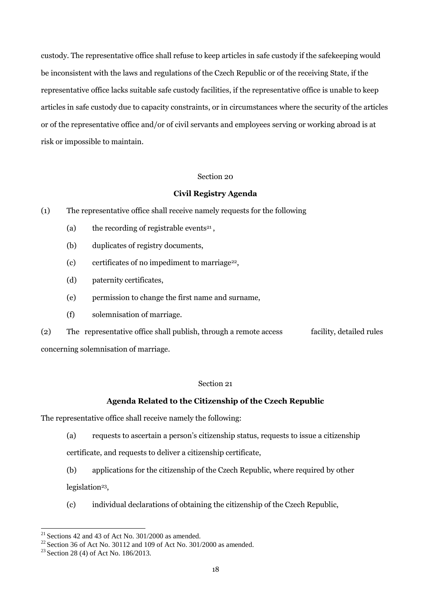custody. The representative office shall refuse to keep articles in safe custody if the safekeeping would be inconsistent with the laws and regulations of the Czech Republic or of the receiving State, if the representative office lacks suitable safe custody facilities, if the representative office is unable to keep articles in safe custody due to capacity constraints, or in circumstances where the security of the articles or of the representative office and/or of civil servants and employees serving or working abroad is at risk or impossible to maintain.

#### Section 20

# **Civil Registry Agenda**

- (1) The representative office shall receive namely requests for the following
	- (a) the recording of registrable events<sup>21</sup>,
	- (b) duplicates of registry documents,
	- (c) certificates of no impediment to marriage<sup>22</sup>,
	- (d) paternity certificates,
	- (e) permission to change the first name and surname,
	- (f) solemnisation of marriage.

(2) The representative office shall publish, through a remote access facility, detailed rules concerning solemnisation of marriage.

# Section 21

# **Agenda Related to the Citizenship of the Czech Republic**

The representative office shall receive namely the following:

(a) requests to ascertain a person's citizenship status, requests to issue a citizenship

certificate, and requests to deliver a citizenship certificate,

(b) applications for the citizenship of the Czech Republic, where required by other legislation<sup>23</sup>,

(c) individual declarations of obtaining the citizenship of the Czech Republic,

 $21$  Sections 42 and 43 of Act No. 301/2000 as amended.

 $^{22}$  Section 36 of Act No. 30112 and 109 of Act No. 301/2000 as amended.

<sup>&</sup>lt;sup>23</sup> Section 28 (4) of Act No. 186/2013.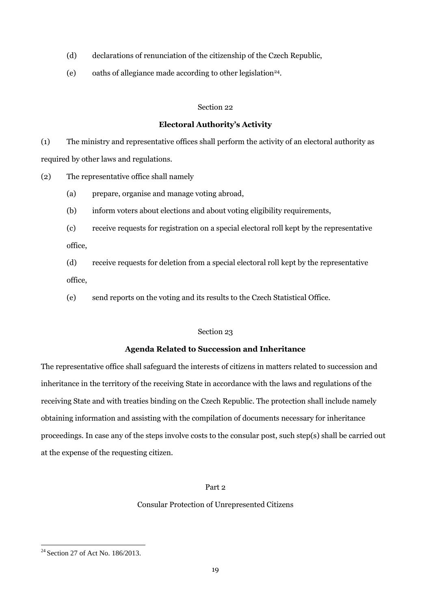- (d) declarations of renunciation of the citizenship of the Czech Republic,
- (e) oaths of allegiance made according to other legislation<sup>24</sup>.

# **Electoral Authority's Activity**

(1) The ministry and representative offices shall perform the activity of an electoral authority as required by other laws and regulations.

- (2) The representative office shall namely
	- (a) prepare, organise and manage voting abroad,
	- (b) inform voters about elections and about voting eligibility requirements,

(c) receive requests for registration on a special electoral roll kept by the representative office,

(d) receive requests for deletion from a special electoral roll kept by the representative office,

(e) send reports on the voting and its results to the Czech Statistical Office.

## Section 23

# **Agenda Related to Succession and Inheritance**

The representative office shall safeguard the interests of citizens in matters related to succession and inheritance in the territory of the receiving State in accordance with the laws and regulations of the receiving State and with treaties binding on the Czech Republic. The protection shall include namely obtaining information and assisting with the compilation of documents necessary for inheritance proceedings. In case any of the steps involve costs to the consular post, such step(s) shall be carried out at the expense of the requesting citizen.

# Part 2

# Consular Protection of Unrepresented Citizens

<sup>&</sup>lt;sup>24</sup> Section 27 of Act No. 186/2013.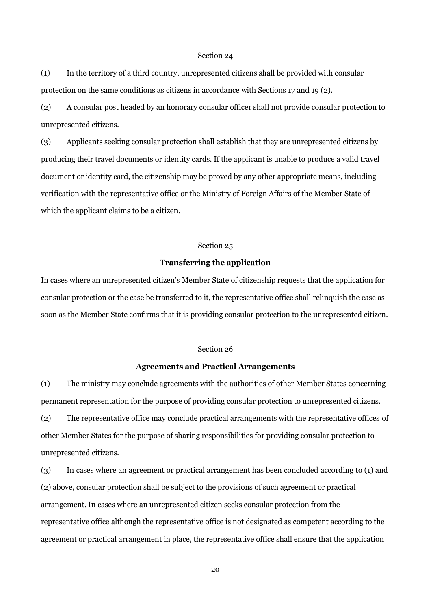(1) In the territory of a third country, unrepresented citizens shall be provided with consular protection on the same conditions as citizens in accordance with Sections 17 and 19 (2).

(2) A consular post headed by an honorary consular officer shall not provide consular protection to unrepresented citizens.

(3) Applicants seeking consular protection shall establish that they are unrepresented citizens by producing their travel documents or identity cards. If the applicant is unable to produce a valid travel document or identity card, the citizenship may be proved by any other appropriate means, including verification with the representative office or the Ministry of Foreign Affairs of the Member State of which the applicant claims to be a citizen.

#### Section 25

# **Transferring the application**

In cases where an unrepresented citizen's Member State of citizenship requests that the application for consular protection or the case be transferred to it, the representative office shall relinquish the case as soon as the Member State confirms that it is providing consular protection to the unrepresented citizen.

# Section 26

#### **Agreements and Practical Arrangements**

(1) The ministry may conclude agreements with the authorities of other Member States concerning permanent representation for the purpose of providing consular protection to unrepresented citizens. (2) The representative office may conclude practical arrangements with the representative offices of other Member States for the purpose of sharing responsibilities for providing consular protection to unrepresented citizens.

(3) In cases where an agreement or practical arrangement has been concluded according to (1) and (2) above, consular protection shall be subject to the provisions of such agreement or practical arrangement. In cases where an unrepresented citizen seeks consular protection from the representative office although the representative office is not designated as competent according to the agreement or practical arrangement in place, the representative office shall ensure that the application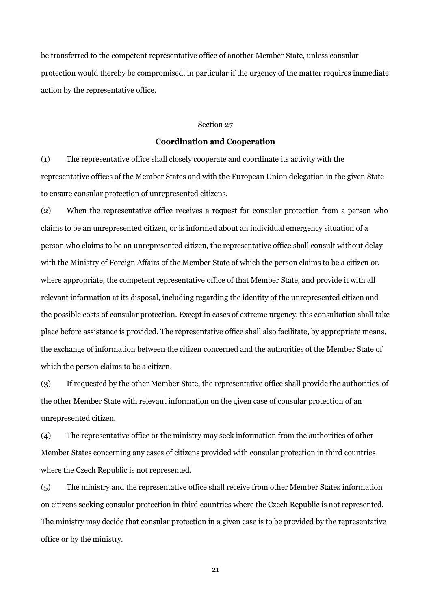be transferred to the competent representative office of another Member State, unless consular protection would thereby be compromised, in particular if the urgency of the matter requires immediate action by the representative office.

# Section 27

## **Coordination and Cooperation**

(1) The representative office shall closely cooperate and coordinate its activity with the representative offices of the Member States and with the European Union delegation in the given State to ensure consular protection of unrepresented citizens.

(2) When the representative office receives a request for consular protection from a person who claims to be an unrepresented citizen, or is informed about an individual emergency situation of a person who claims to be an unrepresented citizen, the representative office shall consult without delay with the Ministry of Foreign Affairs of the Member State of which the person claims to be a citizen or, where appropriate, the competent representative office of that Member State, and provide it with all relevant information at its disposal, including regarding the identity of the unrepresented citizen and the possible costs of consular protection. Except in cases of extreme urgency, this consultation shall take place before assistance is provided. The representative office shall also facilitate, by appropriate means, the exchange of information between the citizen concerned and the authorities of the Member State of which the person claims to be a citizen.

(3) If requested by the other Member State, the representative office shall provide the authorities of the other Member State with relevant information on the given case of consular protection of an unrepresented citizen.

(4) The representative office or the ministry may seek information from the authorities of other Member States concerning any cases of citizens provided with consular protection in third countries where the Czech Republic is not represented.

(5) The ministry and the representative office shall receive from other Member States information on citizens seeking consular protection in third countries where the Czech Republic is not represented. The ministry may decide that consular protection in a given case is to be provided by the representative office or by the ministry.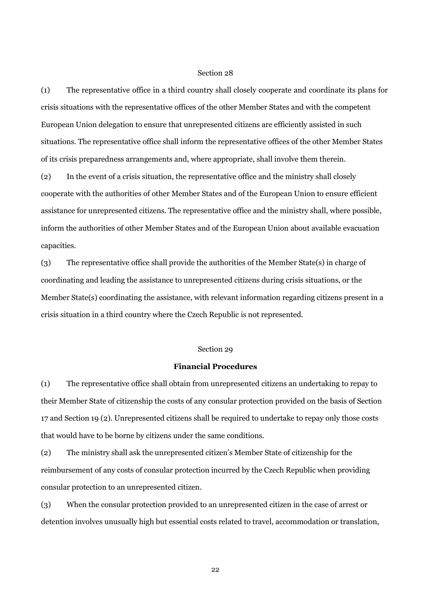(1) The representative office in a third country shall closely cooperate and coordinate its plans for crisis situations with the representative offices of the other Member States and with the competent European Union delegation to ensure that unrepresented citizens are efficiently assisted in such situations. The representative office shall inform the representative offices of the other Member States of its crisis preparedness arrangements and, where appropriate, shall involve them therein.

(2) In the event of a crisis situation, the representative office and the ministry shall closely cooperate with the authorities of other Member States and of the European Union to ensure efficient assistance for unrepresented citizens. The representative office and the ministry shall, where possible, inform the authorities of other Member States and of the European Union about available evacuation capacities.

(3) The representative office shall provide the authorities of the Member State(s) in charge of coordinating and leading the assistance to unrepresented citizens during crisis situations, or the Member State(s) coordinating the assistance, with relevant information regarding citizens present in a crisis situation in a third country where the Czech Republic is not represented.

#### Section 29

#### **Financial Procedures**

(1) The representative office shall obtain from unrepresented citizens an undertaking to repay to their Member State of citizenship the costs of any consular protection provided on the basis of Section 17 and Section 19 (2). Unrepresented citizens shall be required to undertake to repay only those costs that would have to be borne by citizens under the same conditions.

(2) The ministry shall ask the unrepresented citizen's Member State of citizenship for the reimbursement of any costs of consular protection incurred by the Czech Republic when providing consular protection to an unrepresented citizen.

(3) When the consular protection provided to an unrepresented citizen in the case of arrest or detention involves unusually high but essential costs related to travel, accommodation or translation,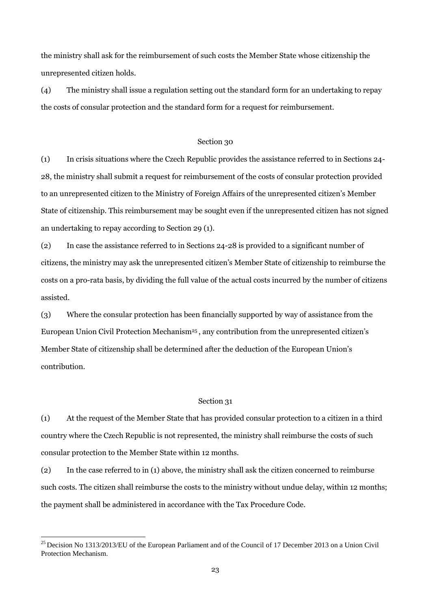the ministry shall ask for the reimbursement of such costs the Member State whose citizenship the unrepresented citizen holds.

(4) The ministry shall issue a regulation setting out the standard form for an undertaking to repay the costs of consular protection and the standard form for a request for reimbursement.

## Section 30

(1) In crisis situations where the Czech Republic provides the assistance referred to in Sections 24- 28, the ministry shall submit a request for reimbursement of the costs of consular protection provided to an unrepresented citizen to the Ministry of Foreign Affairs of the unrepresented citizen's Member State of citizenship. This reimbursement may be sought even if the unrepresented citizen has not signed an undertaking to repay according to Section 29 (1).

(2) In case the assistance referred to in Sections 24-28 is provided to a significant number of citizens, the ministry may ask the unrepresented citizen's Member State of citizenship to reimburse the costs on a pro-rata basis, by dividing the full value of the actual costs incurred by the number of citizens assisted.

(3) Where the consular protection has been financially supported by way of assistance from the European Union Civil Protection Mechanism<sup>25</sup>, any contribution from the unrepresented citizen's Member State of citizenship shall be determined after the deduction of the European Union's contribution.

# Section 31

(1) At the request of the Member State that has provided consular protection to a citizen in a third country where the Czech Republic is not represented, the ministry shall reimburse the costs of such consular protection to the Member State within 12 months.

(2) In the case referred to in (1) above, the ministry shall ask the citizen concerned to reimburse such costs. The citizen shall reimburse the costs to the ministry without undue delay, within 12 months; the payment shall be administered in accordance with the Tax Procedure Code.

<sup>&</sup>lt;sup>25</sup> Decision No 1313/2013/EU of the European Parliament and of the Council of 17 December 2013 on a Union Civil Protection Mechanism.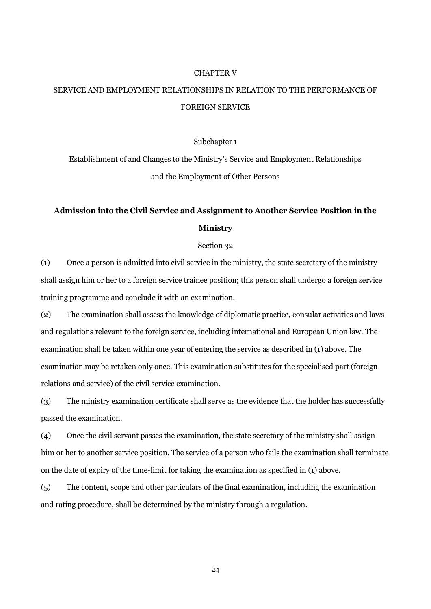#### CHAPTER V

# SERVICE AND EMPLOYMENT RELATIONSHIPS IN RELATION TO THE PERFORMANCE OF FOREIGN SERVICE

#### Subchapter 1

Establishment of and Changes to the Ministry's Service and Employment Relationships and the Employment of Other Persons

# **Admission into the Civil Service and Assignment to Another Service Position in the Ministry**

#### Section 32

(1) Once a person is admitted into civil service in the ministry, the state secretary of the ministry shall assign him or her to a foreign service trainee position; this person shall undergo a foreign service training programme and conclude it with an examination.

(2) The examination shall assess the knowledge of diplomatic practice, consular activities and laws and regulations relevant to the foreign service, including international and European Union law. The examination shall be taken within one year of entering the service as described in (1) above. The examination may be retaken only once. This examination substitutes for the specialised part (foreign relations and service) of the civil service examination.

(3) The ministry examination certificate shall serve as the evidence that the holder has successfully passed the examination.

(4) Once the civil servant passes the examination, the state secretary of the ministry shall assign him or her to another service position. The service of a person who fails the examination shall terminate on the date of expiry of the time-limit for taking the examination as specified in (1) above.

(5) The content, scope and other particulars of the final examination, including the examination and rating procedure, shall be determined by the ministry through a regulation.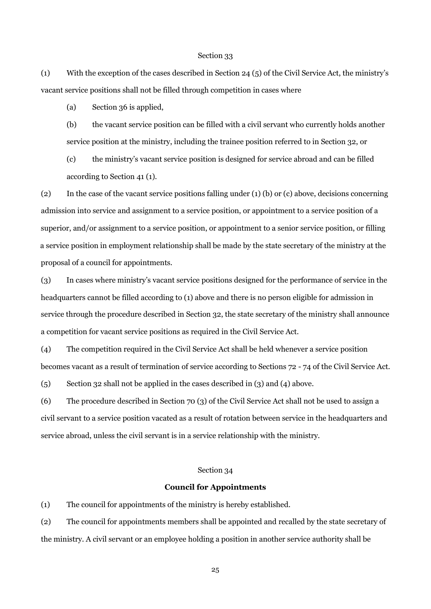(1) With the exception of the cases described in Section 24 (5) of the Civil Service Act, the ministry's vacant service positions shall not be filled through competition in cases where

(a) Section 36 is applied,

(b) the vacant service position can be filled with a civil servant who currently holds another service position at the ministry, including the trainee position referred to in Section 32, or

(c) the ministry's vacant service position is designed for service abroad and can be filled according to Section 41 (1).

(2) In the case of the vacant service positions falling under (1) (b) or (c) above, decisions concerning admission into service and assignment to a service position, or appointment to a service position of a superior, and/or assignment to a service position, or appointment to a senior service position, or filling a service position in employment relationship shall be made by the state secretary of the ministry at the proposal of a council for appointments.

(3) In cases where ministry's vacant service positions designed for the performance of service in the headquarters cannot be filled according to (1) above and there is no person eligible for admission in service through the procedure described in Section 32, the state secretary of the ministry shall announce a competition for vacant service positions as required in the Civil Service Act.

(4) The competition required in the Civil Service Act shall be held whenever a service position becomes vacant as a result of termination of service according to Sections 72 - 74 of the Civil Service Act.

(5) Section 32 shall not be applied in the cases described in (3) and (4) above.

(6) The procedure described in Section 70 (3) of the Civil Service Act shall not be used to assign a civil servant to a service position vacated as a result of rotation between service in the headquarters and service abroad, unless the civil servant is in a service relationship with the ministry.

## Section 34

### **Council for Appointments**

(1) The council for appointments of the ministry is hereby established.

(2) The council for appointments members shall be appointed and recalled by the state secretary of the ministry. A civil servant or an employee holding a position in another service authority shall be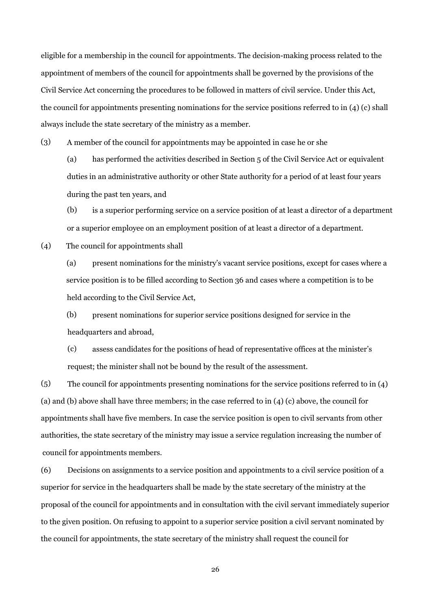eligible for a membership in the council for appointments. The decision-making process related to the appointment of members of the council for appointments shall be governed by the provisions of the Civil Service Act concerning the procedures to be followed in matters of civil service. Under this Act, the council for appointments presenting nominations for the service positions referred to in (4) (c) shall always include the state secretary of the ministry as a member.

(3) A member of the council for appointments may be appointed in case he or she

(a) has performed the activities described in Section 5 of the Civil Service Act or equivalent duties in an administrative authority or other State authority for a period of at least four years during the past ten years, and

(b) is a superior performing service on a service position of at least a director of a department or a superior employee on an employment position of at least a director of a department.

(4) The council for appointments shall

> (a) present nominations for the ministry's vacant service positions, except for cases where a service position is to be filled according to Section 36 and cases where a competition is to be held according to the Civil Service Act,

(b) present nominations for superior service positions designed for service in the headquarters and abroad,

(c) assess candidates for the positions of head of representative offices at the minister's request; the minister shall not be bound by the result of the assessment.

 $(5)$ The council for appointments presenting nominations for the service positions referred to in (4) (a) and (b) above shall have three members; in the case referred to in (4) (c) above, the council for appointments shall have five members. In case the service position is open to civil servants from other authorities, the state secretary of the ministry may issue a service regulation increasing the number of council for appointments members.

(6) Decisions on assignments to a service position and appointments to a civil service position of a superior for service in the headquarters shall be made by the state secretary of the ministry at the proposal of the council for appointments and in consultation with the civil servant immediately superior to the given position. On refusing to appoint to a superior service position a civil servant nominated by the council for appointments, the state secretary of the ministry shall request the council for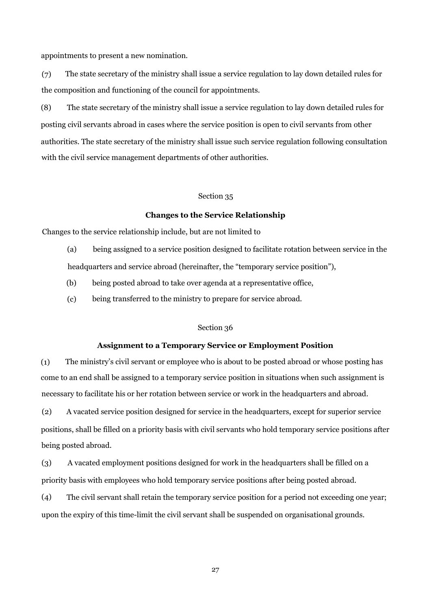appointments to present a new nomination.

(7) The state secretary of the ministry shall issue a service regulation to lay down detailed rules for the composition and functioning of the council for appointments.

(8) The state secretary of the ministry shall issue a service regulation to lay down detailed rules for posting civil servants abroad in cases where the service position is open to civil servants from other with the civil service management departments of other authorities. authorities. The state secretary of the ministry shall issue such service regulation following consultation

#### Section 35

### **Changes to the Service Relationship**

Changes to the service relationship include, but are not limited to

(a) being assigned to a service position designed to facilitate rotation between service in the

headquarters and service abroad (hereinafter, the "temporary service position"),

- (b) being posted abroad to take over agenda at a representative office,
- (c) being transferred to the ministry to prepare for service abroad.

# Section 36

# **Assignment to a Temporary Service or Employment Position**

(1) The ministry's civil servant or employee who is about to be posted abroad or whose posting has come to an end shall be assigned to a temporary service position in situations when such assignment is necessary to facilitate his or her rotation between service or work in the headquarters and abroad.

(2) A vacated service position designed for service in the headquarters, except for superior service positions, shall be filled on a priority basis with civil servants who hold temporary service positions after being posted abroad.

(3) A vacated employment positions designed for work in the headquarters shall be filled on a priority basis with employees who hold temporary service positions after being posted abroad.

(4) The civil servant shall retain the temporary service position for a period not exceeding one year; upon the expiry of this time-limit the civil servant shall be suspended on organisational grounds.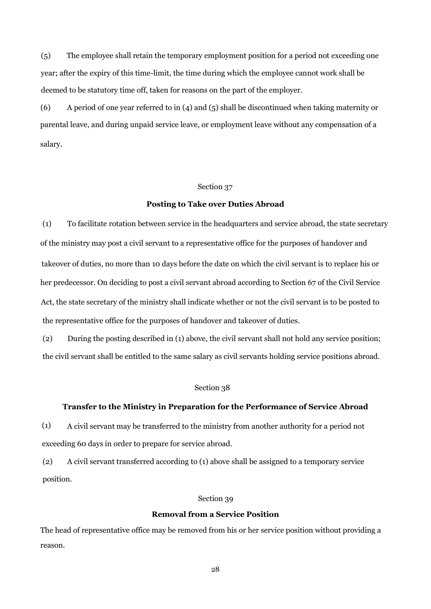(5) The employee shall retain the temporary employment position for a period not exceeding one year; after the expiry of this time-limit, the time during which the employee cannot work shall be deemed to be statutory time off, taken for reasons on the part of the employer.

(6) A period of one year referred to in (4) and (5) shall be discontinued when taking maternity or parental leave, and during unpaid service leave, or employment leave without any compensation of a salary.

## Section 37

# **Posting to Take over Duties Abroad**

(1) To facilitate rotation between service in the headquarters and service abroad, the state secretary of the ministry may post a civil servant to a representative office for the purposes of handover and takeover of duties, no more than 10 days before the date on which the civil servant is to replace his or her predecessor. On deciding to post a civil servant abroad according to Section 67 of the Civil Service Act, the state secretary of the ministry shall indicate whether or not the civil servant is to be posted to the representative office for the purposes of handover and takeover of duties.

(2) During the posting described in (1) above, the civil servant shall not hold any service position; the civil servant shall be entitled to the same salary as civil servants holding service positions abroad.

#### Section 38

# **Transfer to the Ministry in Preparation for the Performance of Service Abroad**

(1) A civil servant may be transferred to the ministry from another authority for a period not exceeding 60 days in order to prepare for service abroad.

(2) A civil servant transferred according to (1) above shall be assigned to a temporary service position.

#### Section 39

## **Removal from a Service Position**

The head of representative office may be removed from his or her service position without providing a reason.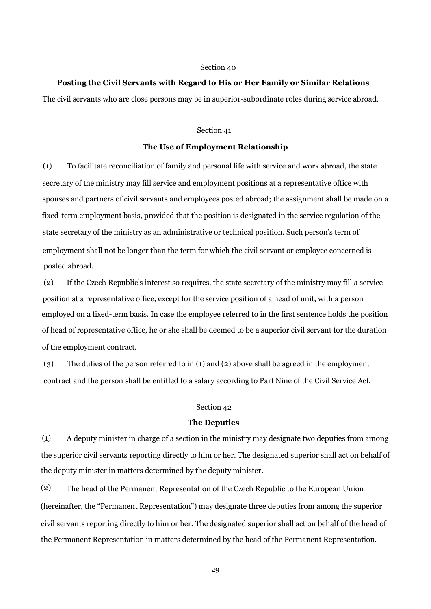## **Posting the Civil Servants with Regard to His or Her Family or Similar Relations**

The civil servants who are close persons may be in superior-subordinate roles during service abroad.

# Section 41

# **The Use of Employment Relationship**

(1) To facilitate reconciliation of family and personal life with service and work abroad, the state secretary of the ministry may fill service and employment positions at a representative office with spouses and partners of civil servants and employees posted abroad; the assignment shall be made on a fixed-term employment basis, provided that the position is designated in the service regulation of the state secretary of the ministry as an administrative or technical position. Such person's term of employment shall not be longer than the term for which the civil servant or employee concerned is posted abroad.

(2) If the Czech Republic's interest so requires, the state secretary of the ministry may fill a service position at a representative office, except for the service position of a head of unit, with a person employed on a fixed-term basis. In case the employee referred to in the first sentence holds the position of head of representative office, he or she shall be deemed to be a superior civil servant for the duration of the employment contract.

(3) The duties of the person referred to in (1) and (2) above shall be agreed in the employment contract and the person shall be entitled to a salary according to Part Nine of the Civil Service Act.

# Section 42

## **The Deputies**

(1) A deputy minister in charge of a section in the ministry may designate two deputies from among the superior civil servants reporting directly to him or her. The designated superior shall act on behalf of the deputy minister in matters determined by the deputy minister.

(2) The head of the Permanent Representation of the Czech Republic to the European Union (hereinafter, the "Permanent Representation") may designate three deputies from among the superior civil servants reporting directly to him or her. The designated superior shall act on behalf of the head of the Permanent Representation in matters determined by the head of the Permanent Representation.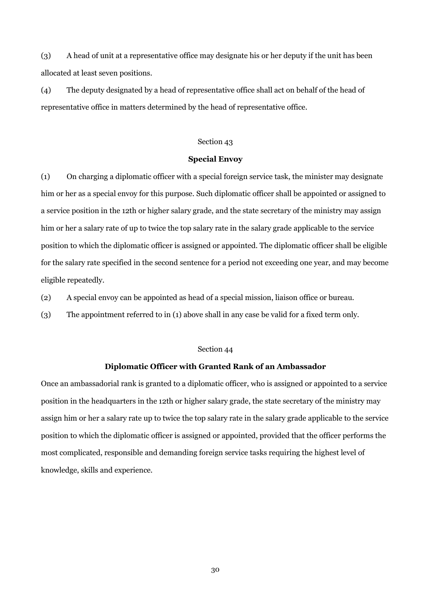(3) A head of unit at a representative office may designate his or her deputy if the unit has been allocated at least seven positions.

(4) The deputy designated by a head of representative office shall act on behalf of the head of representative office in matters determined by the head of representative office.

# Section 43

## **Special Envoy**

(1) On charging a diplomatic officer with a special foreign service task, the minister may designate him or her as a special envoy for this purpose. Such diplomatic officer shall be appointed or assigned to a service position in the 12th or higher salary grade, and the state secretary of the ministry may assign him or her a salary rate of up to twice the top salary rate in the salary grade applicable to the service position to which the diplomatic officer is assigned or appointed. The diplomatic officer shall be eligible for the salary rate specified in the second sentence for a period not exceeding one year, and may become eligible repeatedly.

(2) A special envoy can be appointed as head of a special mission, liaison office or bureau.

(3) The appointment referred to in (1) above shall in any case be valid for a fixed term only.

## Section 44

# **Diplomatic Officer with Granted Rank of an Ambassador**

Once an ambassadorial rank is granted to a diplomatic officer, who is assigned or appointed to a service position in the headquarters in the 12th or higher salary grade, the state secretary of the ministry may assign him or her a salary rate up to twice the top salary rate in the salary grade applicable to the service position to which the diplomatic officer is assigned or appointed, provided that the officer performs the most complicated, responsible and demanding foreign service tasks requiring the highest level of knowledge, skills and experience.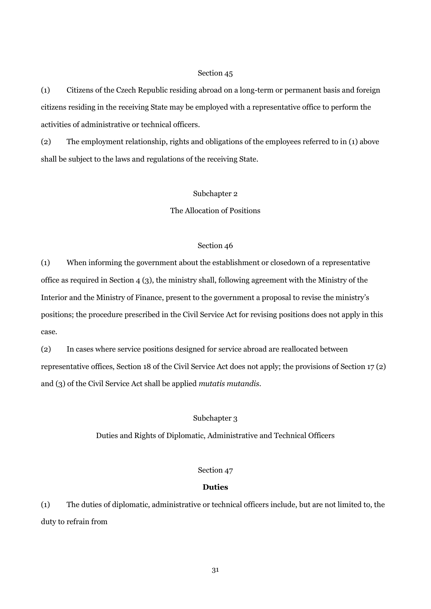(1) Citizens of the Czech Republic residing abroad on a long-term or permanent basis and foreign citizens residing in the receiving State may be employed with a representative office to perform the activities of administrative or technical officers.

(2) The employment relationship, rights and obligations of the employees referred to in (1) above shall be subject to the laws and regulations of the receiving State.

# Subchapter 2

The Allocation of Positions

## Section 46

(1) When informing the government about the establishment or closedown of a representative office as required in Section 4 (3), the ministry shall, following agreement with the Ministry of the Interior and the Ministry of Finance, present to the government a proposal to revise the ministry's positions; the procedure prescribed in the Civil Service Act for revising positions does not apply in this case.

(2) In cases where service positions designed for service abroad are reallocated between representative offices, Section 18 of the Civil Service Act does not apply; the provisions of Section 17 (2) and (3) of the Civil Service Act shall be applied *mutatis mutandis*.

## Subchapter 3

Duties and Rights of Diplomatic, Administrative and Technical Officers

## Section 47

# **Duties**

(1) The duties of diplomatic, administrative or technical officers include, but are not limited to, the duty to refrain from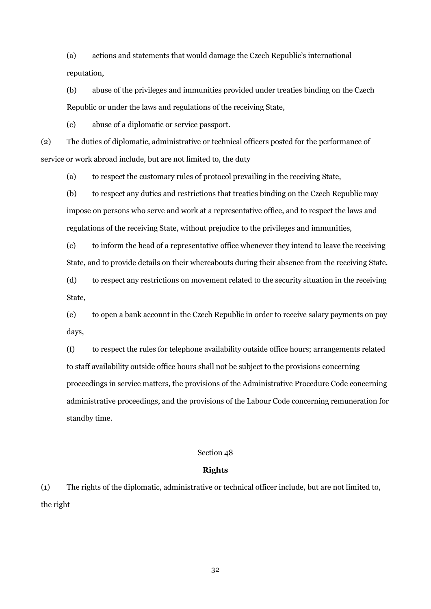(a) actions and statements that would damage the Czech Republic's international reputation,

(b) abuse of the privileges and immunities provided under treaties binding on the Czech Republic or under the laws and regulations of the receiving State,

(c) abuse of a diplomatic or service passport.

(2) The duties of diplomatic, administrative or technical officers posted for the performance of service or work abroad include, but are not limited to, the duty

(a) to respect the customary rules of protocol prevailing in the receiving State,

(b) to respect any duties and restrictions that treaties binding on the Czech Republic may impose on persons who serve and work at a representative office, and to respect the laws and regulations of the receiving State, without prejudice to the privileges and immunities,

(c) to inform the head of a representative office whenever they intend to leave the receiving State, and to provide details on their whereabouts during their absence from the receiving State.

(d) to respect any restrictions on movement related to the security situation in the receiving State,

(e) to open a bank account in the Czech Republic in order to receive salary payments on pay days,

(f) to respect the rules for telephone availability outside office hours; arrangements related to staff availability outside office hours shall not be subject to the provisions concerning proceedings in service matters, the provisions of the Administrative Procedure Code concerning administrative proceedings, and the provisions of the Labour Code concerning remuneration for standby time.

# Section 48

# **Rights**

(1) The rights of the diplomatic, administrative or technical officer include, but are not limited to, the right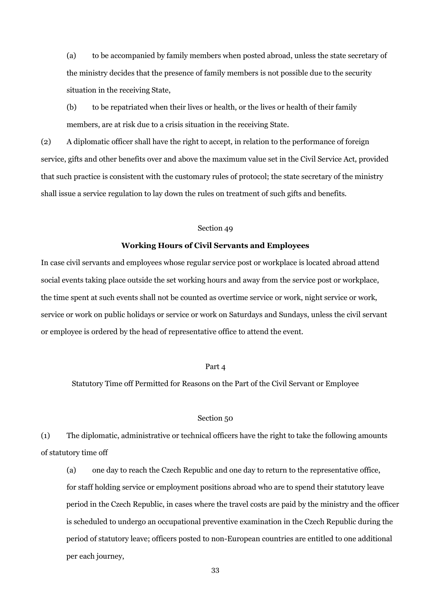(a) to be accompanied by family members when posted abroad, unless the state secretary of the ministry decides that the presence of family members is not possible due to the security situation in the receiving State,

(b) to be repatriated when their lives or health, or the lives or health of their family members, are at risk due to a crisis situation in the receiving State.

(2) A diplomatic officer shall have the right to accept, in relation to the performance of foreign service, gifts and other benefits over and above the maximum value set in the Civil Service Act, provided that such practice is consistent with the customary rules of protocol; the state secretary of the ministry shall issue a service regulation to lay down the rules on treatment of such gifts and benefits.

#### Section 49

#### **Working Hours of Civil Servants and Employees**

In case civil servants and employees whose regular service post or workplace is located abroad attend social events taking place outside the set working hours and away from the service post or workplace, the time spent at such events shall not be counted as overtime service or work, night service or work, service or work on public holidays or service or work on Saturdays and Sundays, unless the civil servant or employee is ordered by the head of representative office to attend the event.

## Part 4

Statutory Time off Permitted for Reasons on the Part of the Civil Servant or Employee

#### Section 50

(1) The diplomatic, administrative or technical officers have the right to take the following amounts of statutory time off

(a) one day to reach the Czech Republic and one day to return to the representative office, for staff holding service or employment positions abroad who are to spend their statutory leave period in the Czech Republic, in cases where the travel costs are paid by the ministry and the officer is scheduled to undergo an occupational preventive examination in the Czech Republic during the period of statutory leave; officers posted to non-European countries are entitled to one additional per each journey,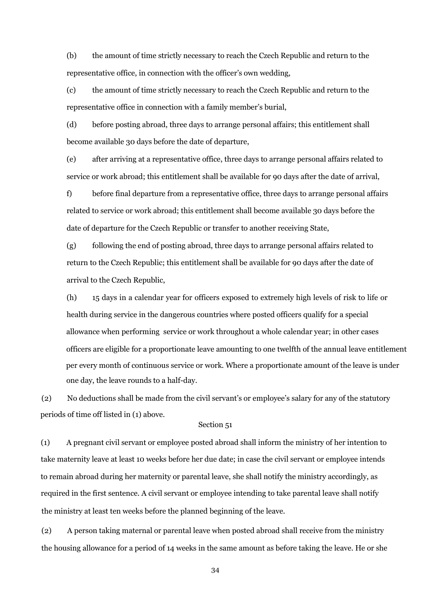(b) the amount of time strictly necessary to reach the Czech Republic and return to the representative office, in connection with the officer's own wedding,

(c) the amount of time strictly necessary to reach the Czech Republic and return to the representative office in connection with a family member's burial,

(d) before posting abroad, three days to arrange personal affairs; this entitlement shall become available 30 days before the date of departure,

(e) after arriving at a representative office, three days to arrange personal affairs related to service or work abroad; this entitlement shall be available for 90 days after the date of arrival,

f) before final departure from a representative office, three days to arrange personal affairs related to service or work abroad; this entitlement shall become available 30 days before the date of departure for the Czech Republic or transfer to another receiving State,

(g) following the end of posting abroad, three days to arrange personal affairs related to return to the Czech Republic; this entitlement shall be available for 90 days after the date of arrival to the Czech Republic,

(h) 15 days in a calendar year for officers exposed to extremely high levels of risk to life or health during service in the dangerous countries where posted officers qualify for a special allowance when performing service or work throughout a whole calendar year; in other cases officers are eligible for a proportionate leave amounting to one twelfth of the annual leave entitlement per every month of continuous service or work. Where a proportionate amount of the leave is under one day, the leave rounds to a half-day.

(2) No deductions shall be made from the civil servant's or employee's salary for any of the statutory periods of time off listed in (1) above.

# Section 51

(1) A pregnant civil servant or employee posted abroad shall inform the ministry of her intention to take maternity leave at least 10 weeks before her due date; in case the civil servant or employee intends to remain abroad during her maternity or parental leave, she shall notify the ministry accordingly, as required in the first sentence. A civil servant or employee intending to take parental leave shall notify the ministry at least ten weeks before the planned beginning of the leave.

(2) A person taking maternal or parental leave when posted abroad shall receive from the ministry the housing allowance for a period of 14 weeks in the same amount as before taking the leave. He or she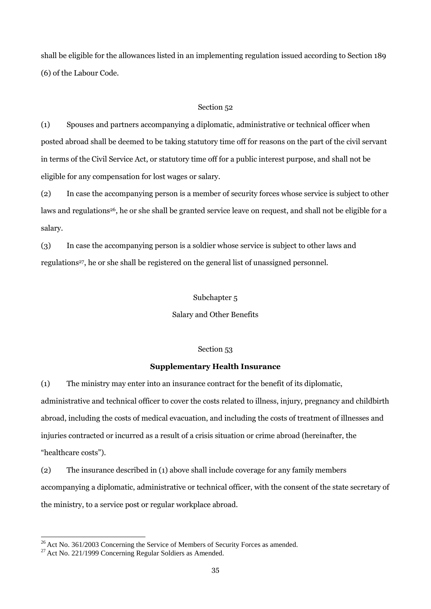shall be eligible for the allowances listed in an implementing regulation issued according to Section 189 (6) of the Labour Code.

# Section 52

(1) Spouses and partners accompanying a diplomatic, administrative or technical officer when posted abroad shall be deemed to be taking statutory time off for reasons on the part of the civil servant in terms of the Civil Service Act, or statutory time off for a public interest purpose, and shall not be eligible for any compensation for lost wages or salary.

(2) In case the accompanying person is a member of security forces whose service is subject to other laws and regulations<sup>26</sup>, he or she shall be granted service leave on request, and shall not be eligible for a salary.

(3) In case the accompanying person is a soldier whose service is subject to other laws and regulations<sup>27</sup>, he or she shall be registered on the general list of unassigned personnel.

# Subchapter 5

Salary and Other Benefits

## Section 53

#### **Supplementary Health Insurance**

(1) The ministry may enter into an insurance contract for the benefit of its diplomatic, administrative and technical officer to cover the costs related to illness, injury, pregnancy and childbirth abroad, including the costs of medical evacuation, and including the costs of treatment of illnesses and injuries contracted or incurred as a result of a crisis situation or crime abroad (hereinafter, the "healthcare costs").

(2) The insurance described in (1) above shall include coverage for any family members accompanying a diplomatic, administrative or technical officer, with the consent of the state secretary of the ministry, to a service post or regular workplace abroad.

 $26$  Act No. 361/2003 Concerning the Service of Members of Security Forces as amended.

 $27$  Act No. 221/1999 Concerning Regular Soldiers as Amended.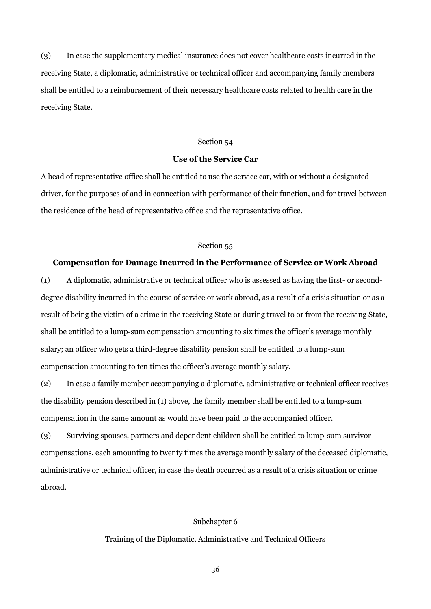(3) In case the supplementary medical insurance does not cover healthcare costs incurred in the receiving State, a diplomatic, administrative or technical officer and accompanying family members shall be entitled to a reimbursement of their necessary healthcare costs related to health care in the receiving State.

#### Section 54

# **Use of the Service Car**

A head of representative office shall be entitled to use the service car, with or without a designated driver, for the purposes of and in connection with performance of their function, and for travel between the residence of the head of representative office and the representative office.

## Section 55

#### **Compensation for Damage Incurred in the Performance of Service or Work Abroad**

(1) A diplomatic, administrative or technical officer who is assessed as having the first- or seconddegree disability incurred in the course of service or work abroad, as a result of a crisis situation or as a result of being the victim of a crime in the receiving State or during travel to or from the receiving State, shall be entitled to a lump-sum compensation amounting to six times the officer's average monthly salary; an officer who gets a third-degree disability pension shall be entitled to a lump-sum compensation amounting to ten times the officer's average monthly salary.

(2) In case a family member accompanying a diplomatic, administrative or technical officer receives the disability pension described in (1) above, the family member shall be entitled to a lump-sum compensation in the same amount as would have been paid to the accompanied officer.

(3) Surviving spouses, partners and dependent children shall be entitled to lump-sum survivor compensations, each amounting to twenty times the average monthly salary of the deceased diplomatic, administrative or technical officer, in case the death occurred as a result of a crisis situation or crime abroad.

#### Subchapter 6

#### Training of the Diplomatic, Administrative and Technical Officers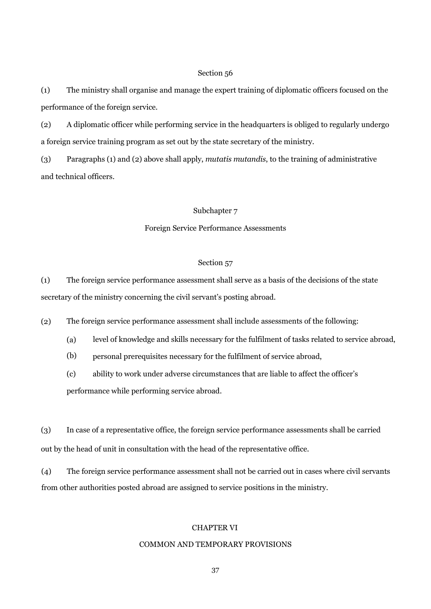(1) The ministry shall organise and manage the expert training of diplomatic officers focused on the performance of the foreign service.

(2) A diplomatic officer while performing service in the headquarters is obliged to regularly undergo a foreign service training program as set out by the state secretary of the ministry.

(3) Paragraphs (1) and (2) above shall apply, *mutatis mutandis*, to the training of administrative and technical officers.

# Subchapter 7

# Foreign Service Performance Assessments

## Section 57

(1) The foreign service performance assessment shall serve as a basis of the decisions of the state secretary of the ministry concerning the civil servant's posting abroad.

(2) The foreign service performance assessment shall include assessments of the following:

- (a) level of knowledge and skills necessary for the fulfilment of tasks related to service abroad,
- (b) personal prerequisites necessary for the fulfilment of service abroad,
- (c) ability to work under adverse circumstances that are liable to affect the officer's performance while performing service abroad.

(3) In case of a representative office, the foreign service performance assessments shall be carried out by the head of unit in consultation with the head of the representative office.

The foreign service performance assessment shall not be carried out in cases where civil servants from other authorities posted abroad are assigned to service positions in the ministry. (4)

# CHAPTER VI

## COMMON AND TEMPORARY PROVISIONS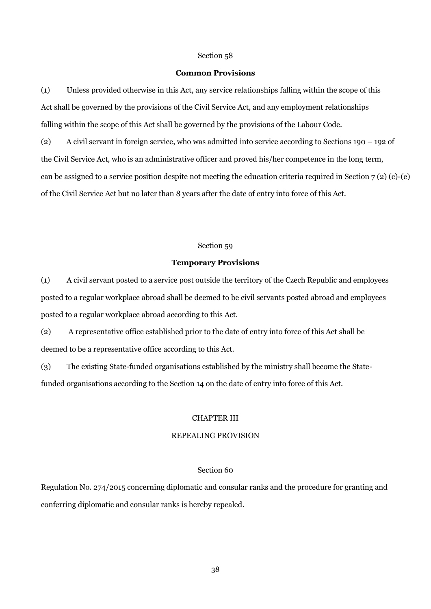#### **Common Provisions**

(1) Unless provided otherwise in this Act, any service relationships falling within the scope of this Act shall be governed by the provisions of the Civil Service Act, and any employment relationships falling within the scope of this Act shall be governed by the provisions of the Labour Code.

(2) A civil servant in foreign service, who was admitted into service according to Sections 190 – 192 of the Civil Service Act, who is an administrative officer and proved his/her competence in the long term, can be assigned to a service position despite not meeting the education criteria required in Section  $7(2)(c)-(e)$ of the Civil Service Act but no later than 8 years after the date of entry into force of this Act.

## Section 59

#### **Temporary Provisions**

(1) A civil servant posted to a service post outside the territory of the Czech Republic and employees posted to a regular workplace abroad shall be deemed to be civil servants posted abroad and employees posted to a regular workplace abroad according to this Act.

(2) A representative office established prior to the date of entry into force of this Act shall be deemed to be a representative office according to this Act.

(3) The existing State-funded organisations established by the ministry shall become the Statefunded organisations according to the Section 14 on the date of entry into force of this Act.

## CHAPTER III

# REPEALING PROVISION

# Section 60

Regulation No. 274/2015 concerning diplomatic and consular ranks and the procedure for granting and conferring diplomatic and consular ranks is hereby repealed.